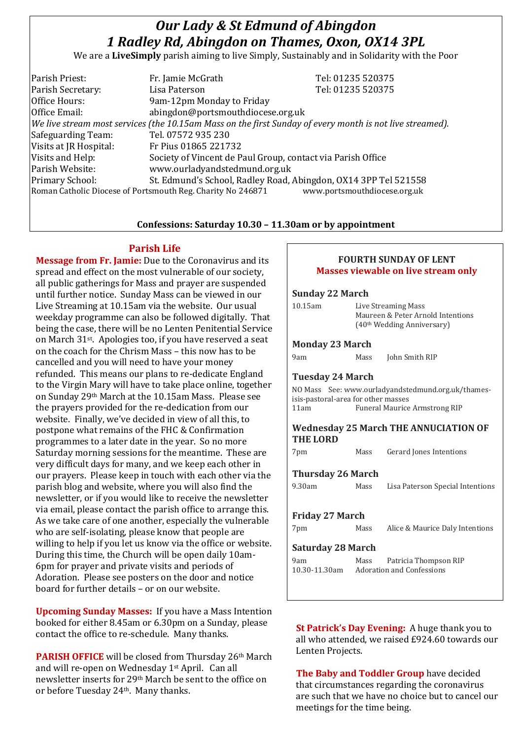# *Our Lady & St Edmund of Abingdon 1 Radley Rd, Abingdon on Thames, Oxon, OX14 3PL*

We are a **LiveSimply** parish aiming to live Simply, Sustainably and in Solidarity with the Poor

| Parish Priest:                                                                                           | Fr. Jamie McGrath                                               | Tel: 01235 520375 |  |
|----------------------------------------------------------------------------------------------------------|-----------------------------------------------------------------|-------------------|--|
| Parish Secretary:                                                                                        | Lisa Paterson                                                   | Tel: 01235 520375 |  |
| Office Hours:                                                                                            | 9am-12pm Monday to Friday                                       |                   |  |
| Office Email:                                                                                            | abingdon@portsmouthdiocese.org.uk                               |                   |  |
| We live stream most services (the 10.15am Mass on the first Sunday of every month is not live streamed). |                                                                 |                   |  |
| Safeguarding Team:                                                                                       | Tel. 07572 935 230                                              |                   |  |
| Visits at JR Hospital:                                                                                   | Fr Pius 01865 221732                                            |                   |  |
| Visits and Help:                                                                                         | Society of Vincent de Paul Group, contact via Parish Office     |                   |  |
| Parish Website:                                                                                          | www.ourladyandstedmund.org.uk                                   |                   |  |
| Primary School:                                                                                          | St. Edmund's School, Radley Road, Abingdon, OX14 3PP Tel 521558 |                   |  |
| www.portsmouthdiocese.org.uk<br>Roman Catholic Diocese of Portsmouth Reg. Charity No 246871              |                                                                 |                   |  |
|                                                                                                          |                                                                 |                   |  |

#### **Confessions: Saturday 10.30 – 11.30am or by appointment**

#### **Parish Life**

**Message from Fr. Jamie:** Due to the Coronavirus and its spread and effect on the most vulnerable of our society, all public gatherings for Mass and prayer are suspended until further notice. Sunday Mass can be viewed in our Live Streaming at 10.15am via the website. Our usual weekday programme can also be followed digitally. That being the case, there will be no Lenten Penitential Service on March 31st. Apologies too, if you have reserved a seat on the coach for the Chrism Mass – this now has to be cancelled and you will need to have your money refunded. This means our plans to re-dedicate England to the Virgin Mary will have to take place online, together on Sunday 29th March at the 10.15am Mass. Please see the prayers provided for the re-dedication from our website. Finally, we've decided in view of all this, to postpone what remains of the FHC & Confirmation programmes to a later date in the year. So no more Saturday morning sessions for the meantime. These are very difficult days for many, and we keep each other in our prayers. Please keep in touch with each other via the parish blog and website, where you will also find the newsletter, or if you would like to receive the newsletter via email, please contact the parish office to arrange this. As we take care of one another, especially the vulnerable who are self-isolating, please know that people are willing to help if you let us know via the office or website. During this time, the Church will be open daily 10am-6pm for prayer and private visits and periods of Adoration. Please see posters on the door and notice board for further details – or on our website.

**Upcoming Sunday Masses:** If you have a Mass Intention booked for either 8.45am or 6.30pm on a Sunday, please contact the office to re-schedule. Many thanks.

**PARISH OFFICE** will be closed from Thursday 26th March and will re-open on Wednesday 1st April. Can all newsletter inserts for 29th March be sent to the office on or before Tuesday 24th. Many thanks.

### **FOURTH SUNDAY OF LENT Masses viewable on live stream only**

#### **Sunday 22 March**

| 10.15am                             | Live Streaming Mass<br>Maureen & Peter Arnold Intentions<br>(40th Wedding Anniversary) |                                                    |  |
|-------------------------------------|----------------------------------------------------------------------------------------|----------------------------------------------------|--|
| <b>Monday 23 March</b>              |                                                                                        |                                                    |  |
| 9am                                 | Mass                                                                                   | John Smith RIP                                     |  |
| <b>Tuesday 24 March</b>             |                                                                                        |                                                    |  |
| isis-pastoral-area for other masses |                                                                                        | NO Mass See: www.ourladyandstedmund.org.uk/thames- |  |
| 11am                                | <b>Funeral Maurice Armstrong RIP</b>                                                   |                                                    |  |
| <b>THE LORD</b>                     |                                                                                        | <b>Wednesday 25 March THE ANNUCIATION OF</b>       |  |
| 7pm                                 | Mass                                                                                   | Gerard Jones Intentions                            |  |
| <b>Thursday 26 March</b>            |                                                                                        |                                                    |  |
| 9.30am                              | Mass                                                                                   | Lisa Paterson Special Intentions                   |  |
| Friday 27 March                     |                                                                                        |                                                    |  |
| 7pm                                 | Mass                                                                                   | Alice & Maurice Daly Intentions                    |  |
| <b>Saturday 28 March</b>            |                                                                                        |                                                    |  |
| 9am                                 | Patricia Thompson RIP<br>Mass<br>10.30-11.30am Adoration and Confessions               |                                                    |  |
|                                     |                                                                                        |                                                    |  |
|                                     |                                                                                        |                                                    |  |

**St Patrick's Day Evening:** A huge thank you to all who attended, we raised £924.60 towards our Lenten Projects.

**The Baby and Toddler Group** have decided that circumstances regarding the coronavirus are such that we have no choice but to cancel our meetings for the time being.